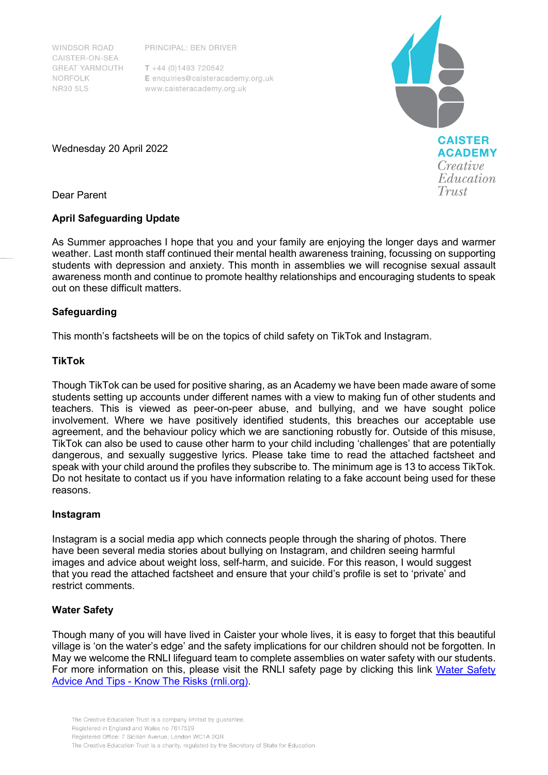**WINDSOR ROAD** CAISTER-ON-SEA **GREAT YARMOUTH** NORFOLK **NR30 5LS** 

PRINCIPAL: BEN DRIVER

 $T + 44 (0)1493 720542$ E enquiries@caisteracademy.org.uk www.caisteracademy.org.uk



Wednesday 20 April 2022

Dear Parent

# **April Safeguarding Update**

As Summer approaches I hope that you and your family are enjoying the longer days and warmer weather. Last month staff continued their mental health awareness training, focussing on supporting students with depression and anxiety. This month in assemblies we will recognise sexual assault awareness month and continue to promote healthy relationships and encouraging students to speak out on these difficult matters.

# **Safeguarding**

This month's factsheets will be on the topics of child safety on TikTok and Instagram.

# **TikTok**

Though TikTok can be used for positive sharing, as an Academy we have been made aware of some students setting up accounts under different names with a view to making fun of other students and teachers. This is viewed as peer-on-peer abuse, and bullying, and we have sought police involvement. Where we have positively identified students, this breaches our acceptable use agreement, and the behaviour policy which we are sanctioning robustly for. Outside of this misuse, TikTok can also be used to cause other harm to your child including 'challenges' that are potentially dangerous, and sexually suggestive lyrics. Please take time to read the attached factsheet and speak with your child around the profiles they subscribe to. The minimum age is 13 to access TikTok. Do not hesitate to contact us if you have information relating to a fake account being used for these reasons.

### **Instagram**

Instagram is a social media app which connects people through the sharing of photos. There have been several media stories about bullying on Instagram, and children seeing harmful images and advice about weight loss, self-harm, and suicide. For this reason, I would suggest that you read the attached factsheet and ensure that your child's profile is set to 'private' and restrict comments.

# **Water Safety**

Though many of you will have lived in Caister your whole lives, it is easy to forget that this beautiful village is 'on the water's edge' and the safety implications for our children should not be forgotten. In May we welcome the RNLI lifeguard team to complete assemblies on water safety with our students. For more information on this, please visit the RNLI safety page by clicking this link [Water Safety](https://rnli.org/safety)  Advice And Tips - [Know The Risks \(rnli.org\).](https://rnli.org/safety)